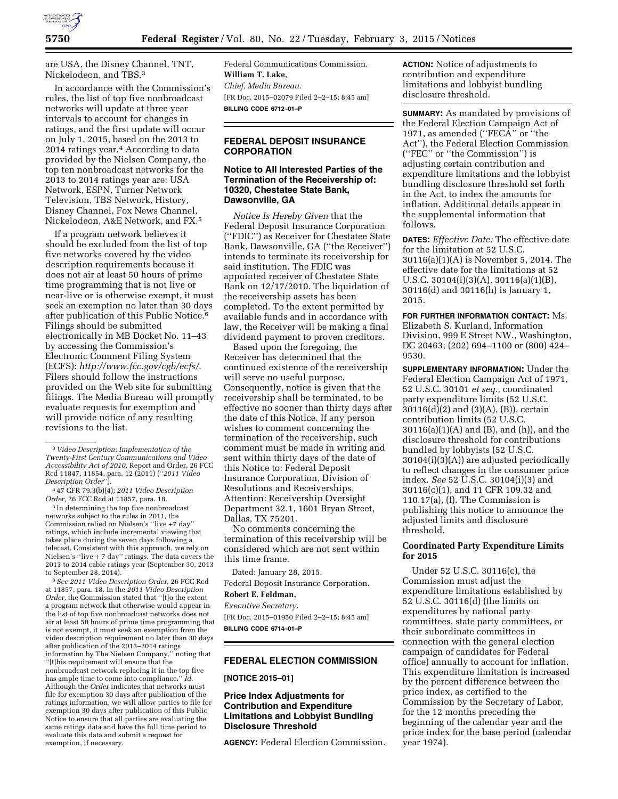

are USA, the Disney Channel, TNT, Nickelodeon, and TBS.3

In accordance with the Commission's rules, the list of top five nonbroadcast networks will update at three year intervals to account for changes in ratings, and the first update will occur on July 1, 2015, based on the 2013 to 2014 ratings year.4 According to data provided by the Nielsen Company, the top ten nonbroadcast networks for the 2013 to 2014 ratings year are: USA Network, ESPN, Turner Network Television, TBS Network, History, Disney Channel, Fox News Channel, Nickelodeon, A&E Network, and FX.5

If a program network believes it should be excluded from the list of top five networks covered by the video description requirements because it does not air at least 50 hours of prime time programming that is not live or near-live or is otherwise exempt, it must seek an exemption no later than 30 days after publication of this Public Notice.6 Filings should be submitted electronically in MB Docket No. 11–43 by accessing the Commission's Electronic Comment Filing System (ECFS): *<http://www.fcc.gov/cgb/ecfs/>*. Filers should follow the instructions provided on the Web site for submitting filings. The Media Bureau will promptly evaluate requests for exemption and will provide notice of any resulting revisions to the list.

4 47 CFR 79.3(b)(4); *2011 Video Description Order,* 26 FCC Rcd at 11857, para. 18.

5 In determining the top five nonbroadcast networks subject to the rules in 2011, the Commission relied on Nielsen's ''live +7 day'' ratings, which include incremental viewing that takes place during the seven days following a telecast. Consistent with this approach, we rely on Nielsen's ''live + 7 day'' ratings. The data covers the 2013 to 2014 cable ratings year (September 30, 2013 to September 28, 2014).

6*See 2011 Video Description Order,* 26 FCC Rcd at 11857, para. 18. In the *2011 Video Description Order,* the Commission stated that ''[t]o the extent a program network that otherwise would appear in the list of top five nonbroadcast networks does not air at least 50 hours of prime time programming that is not exempt, it must seek an exemption from the video description requirement no later than 30 days after publication of the 2013–2014 ratings information by The Nielsen Company,'' noting that ''[t]his requirement will ensure that the nonbroadcast network replacing it in the top five has ample time to come into compliance.'' *Id.*  Although the *Order* indicates that networks must file for exemption 30 days after publication of the ratings information, we will allow parties to file for exemption 30 days after publication of this Public Notice to ensure that all parties are evaluating the same ratings data and have the full time period to evaluate this data and submit a request for exemption, if necessary.

Federal Communications Commission. **William T. Lake,**  *Chief, Media Bureau.*  [FR Doc. 2015–02079 Filed 2–2–15; 8:45 am] **BILLING CODE 6712–01–P** 

### **FEDERAL DEPOSIT INSURANCE CORPORATION**

#### **Notice to All Interested Parties of the Termination of the Receivership of: 10320, Chestatee State Bank, Dawsonville, GA**

*Notice Is Hereby Given* that the Federal Deposit Insurance Corporation (''FDIC'') as Receiver for Chestatee State Bank, Dawsonville, GA (''the Receiver'') intends to terminate its receivership for said institution. The FDIC was appointed receiver of Chestatee State Bank on 12/17/2010. The liquidation of the receivership assets has been completed. To the extent permitted by available funds and in accordance with law, the Receiver will be making a final dividend payment to proven creditors.

Based upon the foregoing, the Receiver has determined that the continued existence of the receivership will serve no useful purpose. Consequently, notice is given that the receivership shall be terminated, to be effective no sooner than thirty days after the date of this Notice. If any person wishes to comment concerning the termination of the receivership, such comment must be made in writing and sent within thirty days of the date of this Notice to: Federal Deposit Insurance Corporation, Division of Resolutions and Receiverships, Attention: Receivership Oversight Department 32.1, 1601 Bryan Street, Dallas, TX 75201.

No comments concerning the termination of this receivership will be considered which are not sent within this time frame.

Dated: January 28, 2015.

Federal Deposit Insurance Corporation.

#### **Robert E. Feldman,**

*Executive Secretary.* 

[FR Doc. 2015–01950 Filed 2–2–15; 8:45 am] **BILLING CODE 6714–01–P** 

### **FEDERAL ELECTION COMMISSION**

#### **[NOTICE 2015–01]**

#### **Price Index Adjustments for Contribution and Expenditure Limitations and Lobbyist Bundling Disclosure Threshold**

**AGENCY:** Federal Election Commission.

**ACTION:** Notice of adjustments to contribution and expenditure limitations and lobbyist bundling disclosure threshold.

**SUMMARY:** As mandated by provisions of the Federal Election Campaign Act of 1971, as amended (''FECA'' or ''the Act''), the Federal Election Commission (''FEC'' or ''the Commission'') is adjusting certain contribution and expenditure limitations and the lobbyist bundling disclosure threshold set forth in the Act, to index the amounts for inflation. Additional details appear in the supplemental information that follows.

**DATES:** *Effective Date:* The effective date for the limitation at 52 U.S.C. 30116(a)(1)(A) is November 5, 2014. The effective date for the limitations at 52 U.S.C. 30104(i)(3)(A), 30116(a)(1)(B), 30116(d) and 30116(h) is January 1, 2015.

**FOR FURTHER INFORMATION CONTACT:** Ms. Elizabeth S. Kurland, Information Division, 999 E Street NW., Washington, DC 20463; (202) 694–1100 or (800) 424– 9530.

**SUPPLEMENTARY INFORMATION:** Under the Federal Election Campaign Act of 1971, 52 U.S.C. 30101 *et seq.,* coordinated party expenditure limits (52 U.S.C. 30116(d)(2) and (3)(A), (B)), certain contribution limits (52 U.S.C. 30116(a)(1)(A) and (B), and (h)), and the disclosure threshold for contributions bundled by lobbyists (52 U.S.C. 30104(i)(3)(A)) are adjusted periodically to reflect changes in the consumer price index. *See* 52 U.S.C. 30104(i)(3) and 30116(c)(1), and 11 CFR 109.32 and 110.17(a), (f). The Commission is publishing this notice to announce the adjusted limits and disclosure threshold.

#### **Coordinated Party Expenditure Limits for 2015**

Under 52 U.S.C. 30116(c), the Commission must adjust the expenditure limitations established by 52 U.S.C. 30116(d) (the limits on expenditures by national party committees, state party committees, or their subordinate committees in connection with the general election campaign of candidates for Federal office) annually to account for inflation. This expenditure limitation is increased by the percent difference between the price index, as certified to the Commission by the Secretary of Labor, for the 12 months preceding the beginning of the calendar year and the price index for the base period (calendar year 1974).

<sup>3</sup> *Video Description: Implementation of the Twenty-First Century Communications and Video Accessibility Act of 2010*, Report and Order, 26 FCC Rcd 11847, 11854, para. 12 (2011) (''*2011 Video Description Order*'').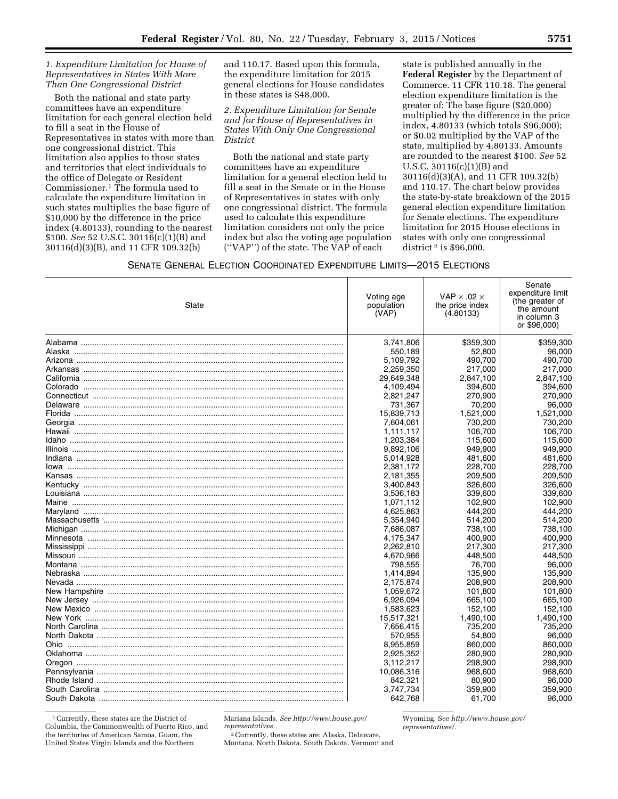#### *1. Expenditure Limitation for House of Representatives in States With More Than One Congressional District*

Both the national and state party committees have an expenditure limitation for each general election held to fill a seat in the House of Representatives in states with more than one congressional district. This limitation also applies to those states and territories that elect individuals to the office of Delegate or Resident Commissioner.1 The formula used to calculate the expenditure limitation in such states multiplies the base figure of \$10,000 by the difference in the price index (4.80133), rounding to the nearest \$100. *See* 52 U.S.C. 30116(c)(1)(B) and 30116(d)(3)(B), and 11 CFR 109.32(b)

and 110.17. Based upon this formula, the expenditure limitation for 2015 general elections for House candidates in these states is \$48,000.

*2. Expenditure Limitation for Senate and for House of Representatives in States With Only One Congressional District* 

Both the national and state party committees have an expenditure limitation for a general election held to fill a seat in the Senate or in the House of Representatives in states with only one congressional district. The formula used to calculate this expenditure limitation considers not only the price index but also the voting age population (''VAP'') of the state. The VAP of each

state is published annually in the **Federal Register** by the Department of Commerce. 11 CFR 110.18. The general election expenditure limitation is the greater of: The base figure (\$20,000) multiplied by the difference in the price index, 4.80133 (which totals \$96,000); or \$0.02 multiplied by the VAP of the state, multiplied by 4.80133. Amounts are rounded to the nearest \$100. *See* 52 U.S.C. 30116(c)(1)(B) and 30116(d)(3)(A), and 11 CFR 109.32(b) and 110.17. The chart below provides the state-by-state breakdown of the 2015 general election expenditure limitation for Senate elections. The expenditure limitation for 2015 House elections in states with only one congressional district 2 is \$96,000.

SENATE GENERAL ELECTION COORDINATED EXPENDITURE LIMITS—2015 ELECTIONS

| State | Voting age<br>population<br>(VAP) | VAP $\times$ .02 $\times$<br>the price index<br>(4.80133) | Senate<br>expenditure limit<br>(the greater of<br>the amount<br>in column 3<br>or \$96,000) |
|-------|-----------------------------------|-----------------------------------------------------------|---------------------------------------------------------------------------------------------|
|       | 3,741,806                         | \$359,300                                                 | \$359,300                                                                                   |
|       | 550,189                           | 52,800                                                    | 96,000                                                                                      |
|       | 5.109.792                         | 490.700                                                   | 490.700                                                                                     |
|       | 2,259,350                         | 217,000                                                   | 217,000                                                                                     |
|       | 29,649,348                        | 2,847,100                                                 | 2,847,100                                                                                   |
|       | 4,109,494                         | 394,600                                                   | 394,600                                                                                     |
|       | 2,821,247                         | 270,900                                                   | 270.900                                                                                     |
|       | 731,367                           | 70,200                                                    | 96,000                                                                                      |
|       | 15,839,713                        | 1,521,000                                                 | 1,521,000                                                                                   |
|       | 7,604,061                         | 730,200                                                   | 730,200                                                                                     |
|       | 1.111.117                         | 106.700                                                   | 106.700                                                                                     |
|       | 1,203,384                         | 115,600                                                   | 115,600                                                                                     |
|       | 9,892,106                         | 949,900                                                   | 949,900                                                                                     |
|       | 5,014,928                         | 481,600                                                   | 481,600                                                                                     |
|       | 2,381,172                         | 228,700                                                   | 228,700                                                                                     |
|       | 2,181,355                         | 209,500                                                   | 209,500                                                                                     |
|       | 3,400,843                         | 326,600                                                   | 326,600                                                                                     |
|       | 3,536,183                         | 339,600                                                   | 339,600                                                                                     |
|       | 1,071,112                         | 102,900                                                   | 102,900                                                                                     |
|       | 4,625,863                         | 444.200                                                   | 444.200                                                                                     |
|       | 5,354,940                         | 514,200                                                   | 514,200                                                                                     |
|       | 7.686.087                         | 738,100                                                   | 738.100                                                                                     |
|       | 4,175,347                         | 400,900                                                   | 400,900                                                                                     |
|       | 2,262,810                         | 217,300                                                   | 217,300                                                                                     |
|       | 4,670,966                         | 448,500                                                   | 448,500                                                                                     |
|       | 798,555                           | 76,700                                                    | 96.000                                                                                      |
|       | 1,414,894                         | 135,900                                                   | 135,900                                                                                     |
|       | 2,175,874                         | 208,900                                                   | 208,900                                                                                     |
|       | 1,059,672                         | 101,800                                                   | 101,800                                                                                     |
|       | 6.926.094                         | 665.100                                                   | 665.100                                                                                     |
|       | 1,583,623                         | 152,100                                                   | 152,100                                                                                     |
|       | 15,517,321                        | 1,490,100                                                 | 1,490,100                                                                                   |
|       | 7,656,415                         | 735,200                                                   | 735,200                                                                                     |
|       | 570,955                           | 54,800                                                    | 96,000                                                                                      |
|       | 8,955,859                         | 860,000                                                   | 860,000                                                                                     |
|       | 2.925.352                         | 280,900                                                   | 280,900                                                                                     |
|       | 3,112,217                         | 298,900                                                   | 298,900                                                                                     |
|       | 10.086.316                        | 968,600                                                   | 968,600                                                                                     |
|       | 842,321                           | 80,900                                                    | 96,000                                                                                      |
|       | 3,747,734                         | 359,900                                                   | 359,900                                                                                     |
|       | 642,768                           | 61,700                                                    | 96,000                                                                                      |

1Currently, these states are the District of Columbia, the Commonwealth of Puerto Rico, and the territories of American Samoa, Guam, the United States Virgin Islands and the Northern

Mariana Islands. *See [http://www.house.gov/](http://www.house.gov/representatives) [representatives.](http://www.house.gov/representatives)* 

2Currently, these states are: Alaska, Delaware, Montana, North Dakota, South Dakota, Vermont and Wyoming. See *[http://www.house.gov/](http://www.house.gov/representatives/) [representatives/.](http://www.house.gov/representatives/)*